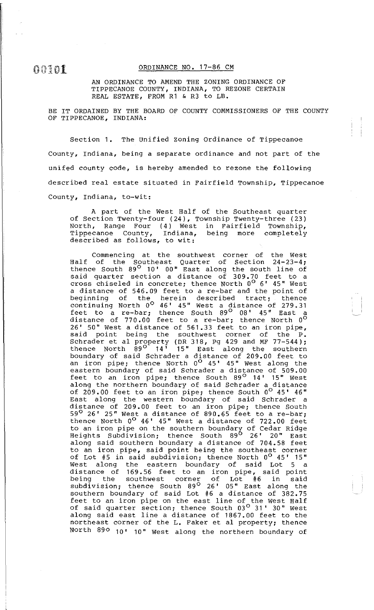ORDINANCE NO. 17-86 CM

AN ORDINANCE TO AMEND THE ZONING ORDINANCE OF TIPPECANOE COUNTY, INDIANA, TO REZONE CERTAIN REAL ESTATE, FROM R1 & R3 to LB.

BE IT ORDAINED BY THE BOARD OF COUNTY COMMISSIONERS OF THE COUNTY OF TIPPECANOE, INDIANA:

Section 1. The unified zoning Ordinance of Tippecanoe County, Indiana, being a separate ordinance and not part of the unifed county code, is hereby amended to rezone the following described real estate situated in Fairfield Township, Tippecanoe County, Indiana, to-wit:

A part of the West Half of the Southeast quarter of Section Twenty-four (24), Township Twenty-three (23) North, Range Four (4) West in Fairfield Township, Tippecanoe County, described as follows, to wit:

Commencing at the southwest corner of the West Half of the Southeast Quarter of Section 24-23-4; thence South 89° 10' 00" East along the south line of said quarter section a distance of 309. 70 feet to a cross chiseled in concrete; thence North  $0^{\circ}$  6' 45" West a distance of 546.09 feet to a re-bar and the point of e distance of 510109 food so different and the point of continuing North  $0^{\circ}$  46' 45" West a distance of 279.31 feet to a re-bar; thence South  $89^\circ$  08'  $45^\circ$  East a distance of  $770.00$  feet to a re-bar; thence North  $0^{\circ}$ 26' 50" West a distance of 561.33 feet to an iron pipe,<br>said point being the southwest corner of the P. point being the southwest corner of Schrader et al property {DR 318, Pg 429 and MF 77-544); thence North  $89^\circ$  14<sup>1</sup> 15" East along the southern boundary of said Schrader a distance of 209.00 feet to an iron pipe; thence North  $0^{\circ}$  45' 45" West along the eastern boundary of said Schrader a distance of 509.00 feet to an iron pipe; thence South  $89^{\circ}$  14' 15" West along the northern boundary of said Schrader a distance of 209.00 feet to an iron pipe; thence South  $0^{\circ}$  45' 46" East along the western boundary of said Schrader a distance of 209.00 feet to an iron pipe; thence South  $59^\circ$  26' 25" West a distance of 890.65 feet to a re-bar; thence North  $0^{\circ}$  46' 45" West a distance of 722.00 feet to an iron pipe on the southern boundary of Cedar Ridge Heights Subdivision; thence South 89<sup>0</sup> 26' 20" East along said southern boundary a distance of 704.58 feet to an iron pipe, said point being the southeast corner of Lot #5 in said subdivision; thence North  $0^{\circ}$  45' 15" west along the eastern boundary of said Lot 5 a distance of 169. 56 feet to an iron pipe, said point being the southwest corner of Lot #6 in said subdivision; thence South 89° 26' 05" East along the southern boundary of said Lot #6 a distance of 382.75 feet to an iron pipe on the east line of the west Half of said quarter section; thence South 03<sup>°</sup> 31' 30" West along said east line a distance of 1867.00 feet to the northeast corner of the L. Faker et al property; thence North 890 10' 10" West along the northern boundary of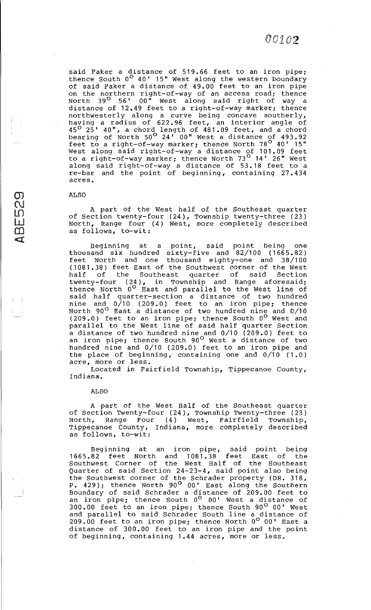said Faker a distance of 519.66 feet to an iron pipe; thence South  $0^{\circ}$  40' 15" West along the western boundary of said Faker a distance of 49.00 feet to an iron pipe on the northern right-of-way of an access road; thence North 39° 56' 00" west along said right of way a distance of 12.49 feet to a right-of-way marker; thence northwesterly along a curve being concave southerly, having a radius of 622. 96 feet, an interior angle of 45° 25' 40", a chord length of 481.09 feet, and a chord bearing of North  $50^{\circ}$  24' 00" West a distance of 493.92 feet to a right-of-way marker; thence North 78<sup>0</sup> 40' 15" west along said right-of-way a distance of 101.09 feet to a right-of-way marker; thence North 73° 14' 26" west along said right-of-way a distance of 53.18 feet to a re-bar and the point of beginning, containing 27. 434 acres.

## ALSO

(J)  $\overline{\mathcal{C}}$ 

LO<br>LU  $\Omega$ <l'.

A part of the West half of the Southeast quarter of Section twenty-four (24), Township twenty-three (23) North, Range four (4) West, more completely described as follows, to-wit:

Beginning at a point, said point being one thousand six hundred sixty-five and  $82/100$  (1665.82) feet North and one thousand eighty-one and 38/100 (1081.38) feet East of the Southwest corner of the West half of the Southeast quarter of said Section twenty-four (24), in Township and Range aforesaid; thence North  $0^\circ$  East and parallel to the West line of said half quarter-section a distance of two hundred nine and  $0/10$  (209.0) feet to an iron pipe; thence North 90<sup>0</sup> East a distance of two hundred nine and 0/10  $(209.0)$  feet to an iron pipe; thence South  $0^{\circ}$  West and parallel to the west line of said half quarter Section a distance of two hundred nine and 0/10 (209.0) feet to an iron pipe; thence South 90<sup>0</sup> West a distance of two hundred nine and 0/10 (209.0) feet to an iron pipe and the place of beginning, containing one and 0/10 (1.0) acre, more or less.

Located in Fairfield Township, Tippecanoe County, Indiana.

ALSO

A part of the West Half of the Southeast quarter of Section Twenty-four (24), Township Twenty-three (23) va becoren Inding Tour (11), romaning India, and (15) Tippecanoe County, Indiana, more completely described as follows, to-wit:

Beginning at an iron pipe, said point being 1665.82 feet North and 1081.38 feet East of the Southwest Corner of the west Half of the Southeast Quarter of said Section 24-23-4, said point also being the Southwest corner of the Schrader property (DR. 318, P. 429); thence North 90<sup>0</sup> 00' East along the Southern Boundary of said Schrader a distance of 209.00 feet to an iron pipe; thence South  $0^{\circ}$  00' West a distance of 300.00 feet to an iron pipe; thence South 90° 00' West and parallel to said Schrader South line a distance of 209.00 feet to an iron pipe; thence North 0<sup>0</sup> 00' East a distance of 300.00 feet to an iron pipe and the point of beginning, containing 1.44 acres, more or less.